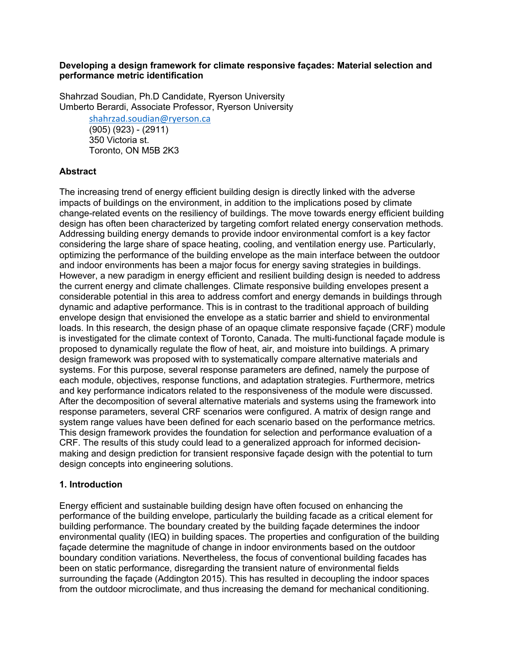#### **Developing a design framework for climate responsive façades: Material selection and performance metric identification**

Shahrzad Soudian, Ph.D Candidate, Ryerson University Umberto Berardi, Associate Professor, Ryerson University

> shahrzad.soudian@ryerson.ca (905) (923) - (2911) 350 Victoria st. Toronto, ON M5B 2K3

### **Abstract**

The increasing trend of energy efficient building design is directly linked with the adverse impacts of buildings on the environment, in addition to the implications posed by climate change-related events on the resiliency of buildings. The move towards energy efficient building design has often been characterized by targeting comfort related energy conservation methods. Addressing building energy demands to provide indoor environmental comfort is a key factor considering the large share of space heating, cooling, and ventilation energy use. Particularly, optimizing the performance of the building envelope as the main interface between the outdoor and indoor environments has been a major focus for energy saving strategies in buildings. However, a new paradigm in energy efficient and resilient building design is needed to address the current energy and climate challenges. Climate responsive building envelopes present a considerable potential in this area to address comfort and energy demands in buildings through dynamic and adaptive performance. This is in contrast to the traditional approach of building envelope design that envisioned the envelope as a static barrier and shield to environmental loads. In this research, the design phase of an opaque climate responsive façade (CRF) module is investigated for the climate context of Toronto, Canada. The multi-functional façade module is proposed to dynamically regulate the flow of heat, air, and moisture into buildings. A primary design framework was proposed with to systematically compare alternative materials and systems. For this purpose, several response parameters are defined, namely the purpose of each module, objectives, response functions, and adaptation strategies. Furthermore, metrics and key performance indicators related to the responsiveness of the module were discussed. After the decomposition of several alternative materials and systems using the framework into response parameters, several CRF scenarios were configured. A matrix of design range and system range values have been defined for each scenario based on the performance metrics. This design framework provides the foundation for selection and performance evaluation of a CRF. The results of this study could lead to a generalized approach for informed decisionmaking and design prediction for transient responsive façade design with the potential to turn design concepts into engineering solutions.

#### **1. Introduction**

Energy efficient and sustainable building design have often focused on enhancing the performance of the building envelope, particularly the building facade as a critical element for building performance. The boundary created by the building façade determines the indoor environmental quality (IEQ) in building spaces. The properties and configuration of the building façade determine the magnitude of change in indoor environments based on the outdoor boundary condition variations. Nevertheless, the focus of conventional building facades has been on static performance, disregarding the transient nature of environmental fields surrounding the façade (Addington 2015). This has resulted in decoupling the indoor spaces from the outdoor microclimate, and thus increasing the demand for mechanical conditioning.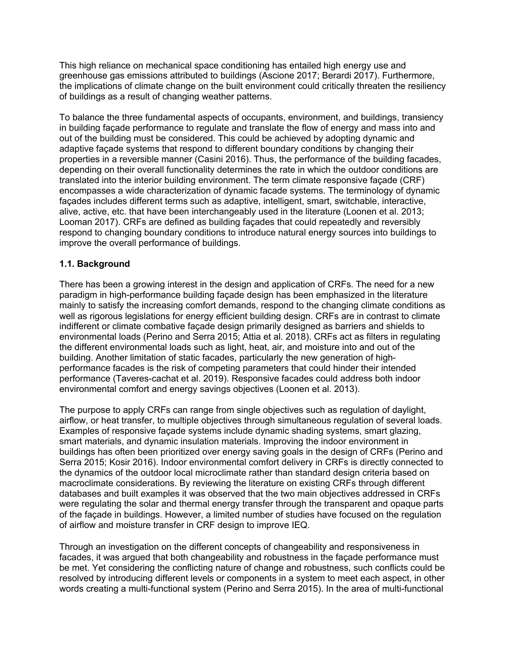This high reliance on mechanical space conditioning has entailed high energy use and greenhouse gas emissions attributed to buildings (Ascione 2017; Berardi 2017). Furthermore, the implications of climate change on the built environment could critically threaten the resiliency of buildings as a result of changing weather patterns.

To balance the three fundamental aspects of occupants, environment, and buildings, transiency in building façade performance to regulate and translate the flow of energy and mass into and out of the building must be considered. This could be achieved by adopting dynamic and adaptive façade systems that respond to different boundary conditions by changing their properties in a reversible manner (Casini 2016). Thus, the performance of the building facades, depending on their overall functionality determines the rate in which the outdoor conditions are translated into the interior building environment. The term climate responsive façade (CRF) encompasses a wide characterization of dynamic facade systems. The terminology of dynamic façades includes different terms such as adaptive, intelligent, smart, switchable, interactive, alive, active, etc. that have been interchangeably used in the literature (Loonen et al. 2013; Looman 2017). CRFs are defined as building façades that could repeatedly and reversibly respond to changing boundary conditions to introduce natural energy sources into buildings to improve the overall performance of buildings.

## **1.1. Background**

There has been a growing interest in the design and application of CRFs. The need for a new paradigm in high-performance building façade design has been emphasized in the literature mainly to satisfy the increasing comfort demands, respond to the changing climate conditions as well as rigorous legislations for energy efficient building design. CRFs are in contrast to climate indifferent or climate combative façade design primarily designed as barriers and shields to environmental loads (Perino and Serra 2015; Attia et al. 2018). CRFs act as filters in regulating the different environmental loads such as light, heat, air, and moisture into and out of the building. Another limitation of static facades, particularly the new generation of highperformance facades is the risk of competing parameters that could hinder their intended performance (Taveres-cachat et al. 2019). Responsive facades could address both indoor environmental comfort and energy savings objectives (Loonen et al. 2013).

The purpose to apply CRFs can range from single objectives such as regulation of daylight, airflow, or heat transfer, to multiple objectives through simultaneous regulation of several loads. Examples of responsive façade systems include dynamic shading systems, smart glazing, smart materials, and dynamic insulation materials. Improving the indoor environment in buildings has often been prioritized over energy saving goals in the design of CRFs (Perino and Serra 2015; Kosir 2016). Indoor environmental comfort delivery in CRFs is directly connected to the dynamics of the outdoor local microclimate rather than standard design criteria based on macroclimate considerations. By reviewing the literature on existing CRFs through different databases and built examples it was observed that the two main objectives addressed in CRFs were regulating the solar and thermal energy transfer through the transparent and opaque parts of the façade in buildings. However, a limited number of studies have focused on the regulation of airflow and moisture transfer in CRF design to improve IEQ.

Through an investigation on the different concepts of changeability and responsiveness in facades, it was argued that both changeability and robustness in the façade performance must be met. Yet considering the conflicting nature of change and robustness, such conflicts could be resolved by introducing different levels or components in a system to meet each aspect, in other words creating a multi-functional system (Perino and Serra 2015). In the area of multi-functional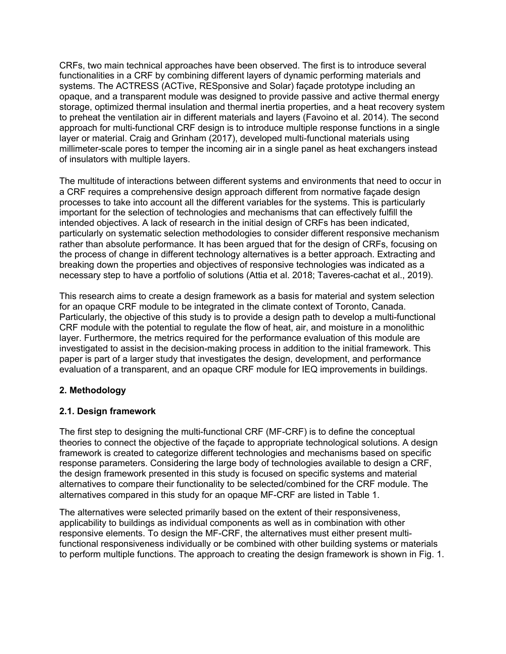CRFs, two main technical approaches have been observed. The first is to introduce several functionalities in a CRF by combining different layers of dynamic performing materials and systems. The ACTRESS (ACTive, RESponsive and Solar) façade prototype including an opaque, and a transparent module was designed to provide passive and active thermal energy storage, optimized thermal insulation and thermal inertia properties, and a heat recovery system to preheat the ventilation air in different materials and layers (Favoino et al. 2014). The second approach for multi-functional CRF design is to introduce multiple response functions in a single layer or material. Craig and Grinham (2017), developed multi-functional materials using millimeter-scale pores to temper the incoming air in a single panel as heat exchangers instead of insulators with multiple layers.

The multitude of interactions between different systems and environments that need to occur in a CRF requires a comprehensive design approach different from normative façade design processes to take into account all the different variables for the systems. This is particularly important for the selection of technologies and mechanisms that can effectively fulfill the intended objectives. A lack of research in the initial design of CRFs has been indicated, particularly on systematic selection methodologies to consider different responsive mechanism rather than absolute performance. It has been argued that for the design of CRFs, focusing on the process of change in different technology alternatives is a better approach. Extracting and breaking down the properties and objectives of responsive technologies was indicated as a necessary step to have a portfolio of solutions (Attia et al. 2018; Taveres-cachat et al., 2019).

This research aims to create a design framework as a basis for material and system selection for an opaque CRF module to be integrated in the climate context of Toronto, Canada. Particularly, the objective of this study is to provide a design path to develop a multi-functional CRF module with the potential to regulate the flow of heat, air, and moisture in a monolithic layer. Furthermore, the metrics required for the performance evaluation of this module are investigated to assist in the decision-making process in addition to the initial framework. This paper is part of a larger study that investigates the design, development, and performance evaluation of a transparent, and an opaque CRF module for IEQ improvements in buildings.

### **2. Methodology**

### **2.1. Design framework**

The first step to designing the multi-functional CRF (MF-CRF) is to define the conceptual theories to connect the objective of the façade to appropriate technological solutions. A design framework is created to categorize different technologies and mechanisms based on specific response parameters. Considering the large body of technologies available to design a CRF, the design framework presented in this study is focused on specific systems and material alternatives to compare their functionality to be selected/combined for the CRF module. The alternatives compared in this study for an opaque MF-CRF are listed in Table 1.

The alternatives were selected primarily based on the extent of their responsiveness, applicability to buildings as individual components as well as in combination with other responsive elements. To design the MF-CRF, the alternatives must either present multifunctional responsiveness individually or be combined with other building systems or materials to perform multiple functions. The approach to creating the design framework is shown in Fig. 1.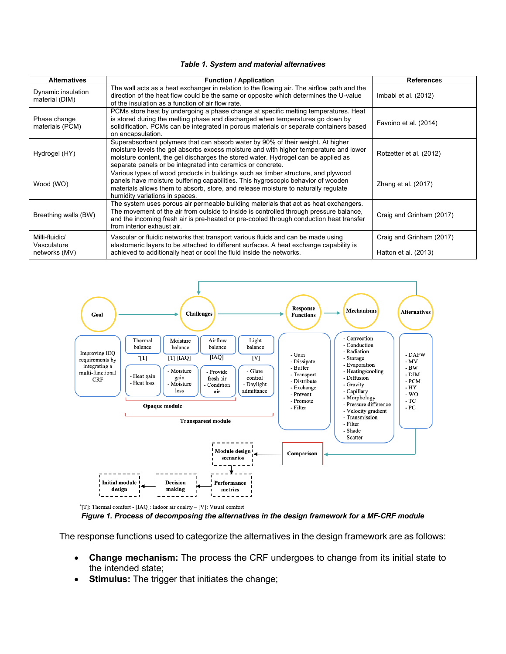|  |  |  |  | Table 1. System and material alternatives |  |
|--|--|--|--|-------------------------------------------|--|
|--|--|--|--|-------------------------------------------|--|

| <b>Alternatives</b>                            | <b>Function / Application</b>                                                                                                                                                                                                                                                                                                | <b>References</b>                                |
|------------------------------------------------|------------------------------------------------------------------------------------------------------------------------------------------------------------------------------------------------------------------------------------------------------------------------------------------------------------------------------|--------------------------------------------------|
| Dynamic insulation<br>material (DIM)           | The wall acts as a heat exchanger in relation to the flowing air. The airflow path and the<br>direction of the heat flow could be the same or opposite which determines the U-value<br>of the insulation as a function of air flow rate.                                                                                     | Imbabi et al. (2012)                             |
| Phase change<br>materials (PCM)                | PCMs store heat by undergoing a phase change at specific melting temperatures. Heat<br>is stored during the melting phase and discharged when temperatures go down by<br>solidification. PCMs can be integrated in porous materials or separate containers based<br>on encapsulation.                                        | Favoino et al. (2014)                            |
| Hydrogel (HY)                                  | Superabsorbent polymers that can absorb water by 90% of their weight. At higher<br>moisture levels the gel absorbs excess moisture and with higher temperature and lower<br>moisture content, the gel discharges the stored water. Hydrogel can be applied as<br>separate panels or be integrated into ceramics or concrete. | Rotzetter et al. (2012)                          |
| Wood (WO)                                      | Various types of wood products in buildings such as timber structure, and plywood<br>panels have moisture buffering capabilities. This hygroscopic behavior of wooden<br>materials allows them to absorb, store, and release moisture to naturally regulate<br>humidity variations in spaces.                                | Zhang et al. (2017)                              |
| Breathing walls (BW)                           | The system uses porous air permeable building materials that act as heat exchangers.<br>The movement of the air from outside to inside is controlled through pressure balance,<br>and the incoming fresh air is pre-heated or pre-cooled through conduction heat transfer<br>from interior exhaust air.                      | Craig and Grinham (2017)                         |
| Milli-fluidic/<br>Vasculature<br>networks (MV) | Vascular or fluidic networks that transport various fluids and can be made using<br>elastomeric layers to be attached to different surfaces. A heat exchange capability is<br>achieved to additionally heat or cool the fluid inside the networks.                                                                           | Craig and Grinham (2017)<br>Hatton et al. (2013) |



*Figure 1. Process of decomposing the alternatives in the design framework for a MF-CRF module*

The response functions used to categorize the alternatives in the design framework are as follows:

- **Change mechanism:** The process the CRF undergoes to change from its initial state to the intended state;
- **Stimulus:** The trigger that initiates the change;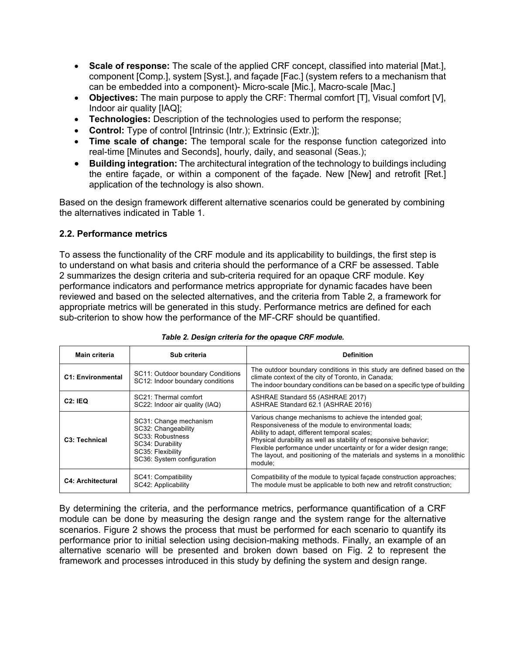- **Scale of response:** The scale of the applied CRF concept, classified into material [Mat.], component [Comp.], system [Syst.], and façade [Fac.] (system refers to a mechanism that can be embedded into a component)- Micro-scale [Mic.], Macro-scale [Mac.]
- **Objectives:** The main purpose to apply the CRF: Thermal comfort [T], Visual comfort [V], Indoor air quality [IAQ];
- **Technologies:** Description of the technologies used to perform the response;
- **Control:** Type of control [Intrinsic (Intr.); Extrinsic (Extr.)];
- **Time scale of change:** The temporal scale for the response function categorized into real-time [Minutes and Seconds], hourly, daily, and seasonal (Seas.);
- **Building integration:** The architectural integration of the technology to buildings including the entire façade, or within a component of the façade. New [New] and retrofit [Ret.] application of the technology is also shown.

Based on the design framework different alternative scenarios could be generated by combining the alternatives indicated in Table 1.

## **2.2. Performance metrics**

To assess the functionality of the CRF module and its applicability to buildings, the first step is to understand on what basis and criteria should the performance of a CRF be assessed. Table 2 summarizes the design criteria and sub-criteria required for an opaque CRF module. Key performance indicators and performance metrics appropriate for dynamic facades have been reviewed and based on the selected alternatives, and the criteria from Table 2, a framework for appropriate metrics will be generated in this study. Performance metrics are defined for each sub-criterion to show how the performance of the MF-CRF should be quantified.

| Main criteria              | Sub criteria                                                                                                                             | <b>Definition</b>                                                                                                                                                                                                                                                                                                                                                                                 |
|----------------------------|------------------------------------------------------------------------------------------------------------------------------------------|---------------------------------------------------------------------------------------------------------------------------------------------------------------------------------------------------------------------------------------------------------------------------------------------------------------------------------------------------------------------------------------------------|
| <b>C1: Environmental</b>   | SC11: Outdoor boundary Conditions<br>SC12: Indoor boundary conditions                                                                    | The outdoor boundary conditions in this study are defined based on the<br>climate context of the city of Toronto, in Canada;<br>The indoor boundary conditions can be based on a specific type of building                                                                                                                                                                                        |
| C2:IEQ                     | SC21: Thermal comfort<br>SC22: Indoor air quality (IAQ)                                                                                  | ASHRAE Standard 55 (ASHRAE 2017)<br>ASHRAE Standard 62.1 (ASHRAE 2016)                                                                                                                                                                                                                                                                                                                            |
| C <sub>3</sub> : Technical | SC31: Change mechanism<br>SC32: Changeability<br>SC33: Robustness<br>SC34: Durability<br>SC35: Flexibility<br>SC36: System configuration | Various change mechanisms to achieve the intended goal;<br>Responsiveness of the module to environmental loads;<br>Ability to adapt, different temporal scales;<br>Physical durability as well as stability of responsive behavior;<br>Flexible performance under uncertainty or for a wider design range;<br>The layout, and positioning of the materials and systems in a monolithic<br>module: |
| <b>C4: Architectural</b>   | SC41: Compatibility<br>SC42: Applicability                                                                                               | Compatibility of the module to typical façade construction approaches;<br>The module must be applicable to both new and retrofit construction;                                                                                                                                                                                                                                                    |

|  |  |  | Table 2. Design criteria for the opaque CRF module. |
|--|--|--|-----------------------------------------------------|
|  |  |  |                                                     |

By determining the criteria, and the performance metrics, performance quantification of a CRF module can be done by measuring the design range and the system range for the alternative scenarios. Figure 2 shows the process that must be performed for each scenario to quantify its performance prior to initial selection using decision-making methods. Finally, an example of an alternative scenario will be presented and broken down based on Fig. 2 to represent the framework and processes introduced in this study by defining the system and design range.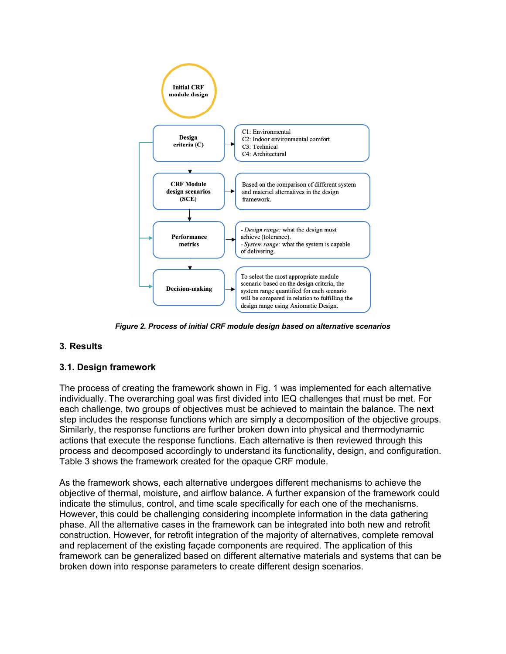

*Figure 2. Process of initial CRF module design based on alternative scenarios*

# **3. Results**

### **3.1. Design framework**

The process of creating the framework shown in Fig. 1 was implemented for each alternative individually. The overarching goal was first divided into IEQ challenges that must be met. For each challenge, two groups of objectives must be achieved to maintain the balance. The next step includes the response functions which are simply a decomposition of the objective groups. Similarly, the response functions are further broken down into physical and thermodynamic actions that execute the response functions. Each alternative is then reviewed through this process and decomposed accordingly to understand its functionality, design, and configuration. Table 3 shows the framework created for the opaque CRF module.

As the framework shows, each alternative undergoes different mechanisms to achieve the objective of thermal, moisture, and airflow balance. A further expansion of the framework could indicate the stimulus, control, and time scale specifically for each one of the mechanisms. However, this could be challenging considering incomplete information in the data gathering phase. All the alternative cases in the framework can be integrated into both new and retrofit construction. However, for retrofit integration of the majority of alternatives, complete removal and replacement of the existing façade components are required. The application of this framework can be generalized based on different alternative materials and systems that can be broken down into response parameters to create different design scenarios.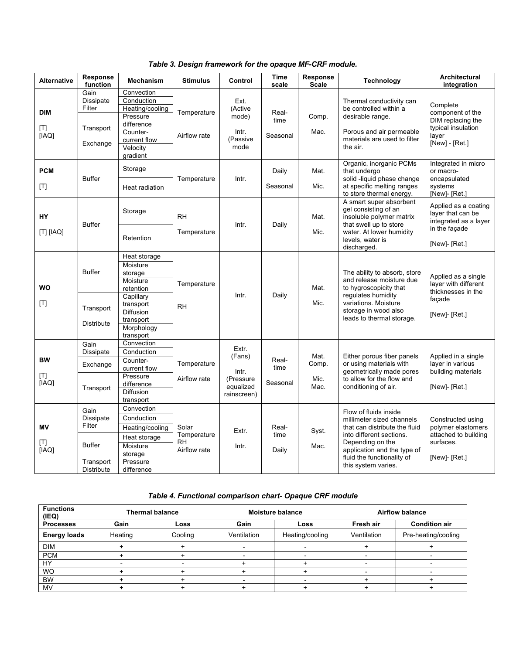|  |  |  | Table 3. Design framework for the opaque MF-CRF module. |  |  |  |  |
|--|--|--|---------------------------------------------------------|--|--|--|--|
|--|--|--|---------------------------------------------------------|--|--|--|--|

| <b>Alternative</b>         | <b>Response</b><br>function                                                           | <b>Mechanism</b>                                                                                                                            | <b>Stimulus</b>                                   | Control                                                           | Time<br>scale             | Response<br><b>Scale</b>      | <b>Technology</b>                                                                                                                                                                                                       | Architectural<br>integration                                                                         |
|----------------------------|---------------------------------------------------------------------------------------|---------------------------------------------------------------------------------------------------------------------------------------------|---------------------------------------------------|-------------------------------------------------------------------|---------------------------|-------------------------------|-------------------------------------------------------------------------------------------------------------------------------------------------------------------------------------------------------------------------|------------------------------------------------------------------------------------------------------|
| <b>DIM</b><br>[T]<br>[IAQ] | Gain<br>Dissipate<br>Filter<br>Transport<br>Exchange                                  | Convection<br>Conduction<br>Heating/cooling<br>Pressure<br>difference<br>Counter-<br>current flow<br>Velocity<br>gradient                   | Temperature<br>Airflow rate                       | Ext.<br>(Active<br>mode)<br>Intr.<br>(Passive<br>mode             | Real-<br>time<br>Seasonal | Comp.<br>Mac.                 | Thermal conductivity can<br>be controlled within a<br>desirable range.<br>Porous and air permeable<br>materials are used to filter<br>the air.                                                                          | Complete<br>component of the<br>DIM replacing the<br>typical insulation<br>layer<br>[New] - [Ret.]   |
| <b>PCM</b><br>[T]          | <b>Buffer</b>                                                                         | Storage<br>Heat radiation                                                                                                                   | Temperature                                       | Intr.                                                             | Daily<br>Seasonal         | Mat.<br>Mic.                  | Organic, inorganic PCMs<br>that undergo<br>solid -liquid phase change<br>at specific melting ranges<br>to store thermal energy.                                                                                         | Integrated in micro<br>or macro-<br>encapsulated<br>systems<br>[New]- [Ret.]                         |
| <b>HY</b><br>[T] [IAQ]     | <b>Buffer</b>                                                                         | Storage<br>Retention                                                                                                                        | <b>RH</b><br>Temperature                          | Intr.                                                             | Daily                     | Mat.<br>Mic.                  | A smart super absorbent<br>gel consisting of an<br>insoluble polymer matrix<br>that swell up to store<br>water. At lower humidity<br>levels, water is<br>discharged.                                                    | Applied as a coating<br>layer that can be<br>integrated as a layer<br>in the façade<br>[New]- [Ret.] |
| WO<br>[T]                  | <b>Buffer</b><br>Transport<br><b>Distribute</b>                                       | Heat storage<br>Moisture<br>storage<br>Moisture<br>retention<br>Capillary<br>transport<br>Diffusion<br>transport<br>Morphology<br>transport | Temperature<br><b>RH</b>                          | Intr.                                                             | Daily                     | Mat.<br>Mic.                  | The ability to absorb, store<br>and release moisture due<br>to hygroscopicity that<br>requlates humidity<br>variations. Moisture<br>storage in wood also<br>leads to thermal storage.                                   | Applied as a single<br>layer with different<br>thicknesses in the<br>facade<br>[New]- [Ret.]         |
| <b>BW</b><br>[T]<br>[IAQ]  | Gain<br>Dissipate<br>Exchange<br>Transport                                            | Convection<br>Conduction<br>Counter-<br>current flow<br>Pressure<br>difference<br><b>Diffusion</b><br>transport                             | Temperature<br>Airflow rate                       | Extr.<br>(Fans)<br>Intr.<br>(Pressure<br>equalized<br>rainscreen) | Real-<br>time<br>Seasonal | Mat.<br>Comp.<br>Mic.<br>Mac. | Either porous fiber panels<br>or using materials with<br>geometrically made pores<br>to allow for the flow and<br>conditioning of air.                                                                                  | Applied in a single<br>layer in various<br>building materials<br>[New]- [Ret.]                       |
| MV<br>[T]<br>[IAQ]         | Gain<br><b>Dissipate</b><br>Filter<br><b>Buffer</b><br>Transport<br><b>Distribute</b> | Convection<br>Conduction<br>Heating/cooling<br>Heat storage<br>Moisture<br>storage<br>Pressure<br>difference                                | Solar<br>Temperature<br><b>RH</b><br>Airflow rate | Extr.<br>Intr.                                                    | Real-<br>time<br>Daily    | Syst.<br>Mac.                 | Flow of fluids inside<br>millimeter sized channels<br>that can distribute the fluid<br>into different sections.<br>Depending on the<br>application and the type of<br>fluid the functionality of<br>this system varies. | Constructed using<br>polymer elastomers<br>attached to building<br>surfaces.<br>[New]- [Ret.]        |

#### *Table 4. Functional comparison chart- Opaque CRF module*

| <b>Functions</b><br>(IEQ) | <b>Thermal balance</b> |         | <b>Moisture balance</b> |                 | <b>Airflow balance</b> |                      |
|---------------------------|------------------------|---------|-------------------------|-----------------|------------------------|----------------------|
| <b>Processes</b>          | Gain                   | Loss    | Gain                    | Loss            | Fresh air              | <b>Condition air</b> |
| <b>Energy loads</b>       | Heating                | Cooling | Ventilation             | Heating/cooling | Ventilation            | Pre-heating/cooling  |
| <b>DIM</b>                |                        |         |                         |                 |                        |                      |
| <b>PCM</b>                |                        |         |                         |                 |                        |                      |
| HY                        |                        |         |                         |                 |                        |                      |
| <b>WO</b>                 |                        |         |                         |                 |                        |                      |
| <b>BW</b>                 |                        |         |                         |                 |                        |                      |
| MV                        |                        |         |                         |                 |                        |                      |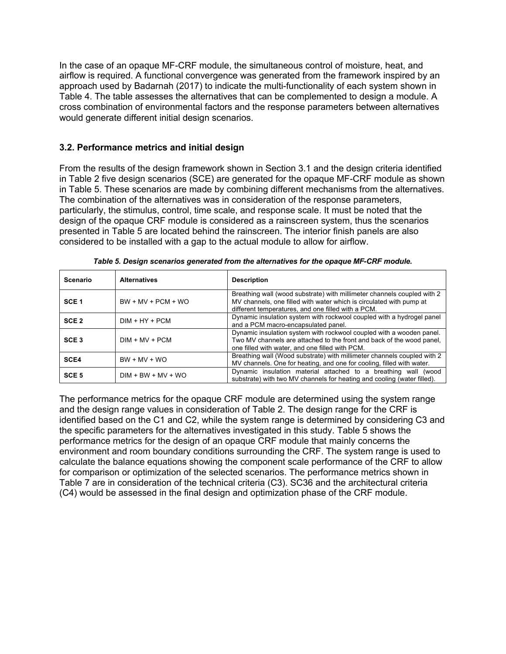In the case of an opaque MF-CRF module, the simultaneous control of moisture, heat, and airflow is required. A functional convergence was generated from the framework inspired by an approach used by Badarnah (2017) to indicate the multi-functionality of each system shown in Table 4. The table assesses the alternatives that can be complemented to design a module. A cross combination of environmental factors and the response parameters between alternatives would generate different initial design scenarios.

#### **3.2. Performance metrics and initial design**

From the results of the design framework shown in Section 3.1 and the design criteria identified in Table 2 five design scenarios (SCE) are generated for the opaque MF-CRF module as shown in Table 5. These scenarios are made by combining different mechanisms from the alternatives. The combination of the alternatives was in consideration of the response parameters, particularly, the stimulus, control, time scale, and response scale. It must be noted that the design of the opaque CRF module is considered as a rainscreen system, thus the scenarios presented in Table 5 are located behind the rainscreen. The interior finish panels are also considered to be installed with a gap to the actual module to allow for airflow.

| Scenario         | <b>Alternatives</b>                                                                                                              | <b>Description</b>                                                                                                                                                                                   |  |  |
|------------------|----------------------------------------------------------------------------------------------------------------------------------|------------------------------------------------------------------------------------------------------------------------------------------------------------------------------------------------------|--|--|
| SCE <sub>1</sub> | $BW + MV + PCM + WO$                                                                                                             | Breathing wall (wood substrate) with millimeter channels coupled with 2<br>MV channels, one filled with water which is circulated with pump at<br>different temperatures, and one filled with a PCM. |  |  |
| SCE <sub>2</sub> | Dynamic insulation system with rockwool coupled with a hydrogel panel<br>$DIM + HY + PCM$<br>and a PCM macro-encapsulated panel. |                                                                                                                                                                                                      |  |  |
| SCE <sub>3</sub> | $DIM + MV + PCM$                                                                                                                 | Dynamic insulation system with rockwool coupled with a wooden panel.<br>Two MV channels are attached to the front and back of the wood panel.<br>one filled with water, and one filled with PCM.     |  |  |
| SCE4             | $BW + MV + WO$                                                                                                                   | Breathing wall (Wood substrate) with millimeter channels coupled with 2<br>MV channels. One for heating, and one for cooling, filled with water.                                                     |  |  |
| SCE <sub>5</sub> | $DIM + BW + MV + WO$                                                                                                             | Dynamic insulation material attached to a breathing wall (wood<br>substrate) with two MV channels for heating and cooling (water filled).                                                            |  |  |

*Table 5. Design scenarios generated from the alternatives for the opaque MF-CRF module.*

The performance metrics for the opaque CRF module are determined using the system range and the design range values in consideration of Table 2. The design range for the CRF is identified based on the C1 and C2, while the system range is determined by considering C3 and the specific parameters for the alternatives investigated in this study. Table 5 shows the performance metrics for the design of an opaque CRF module that mainly concerns the environment and room boundary conditions surrounding the CRF. The system range is used to calculate the balance equations showing the component scale performance of the CRF to allow for comparison or optimization of the selected scenarios. The performance metrics shown in Table 7 are in consideration of the technical criteria (C3). SC36 and the architectural criteria (C4) would be assessed in the final design and optimization phase of the CRF module.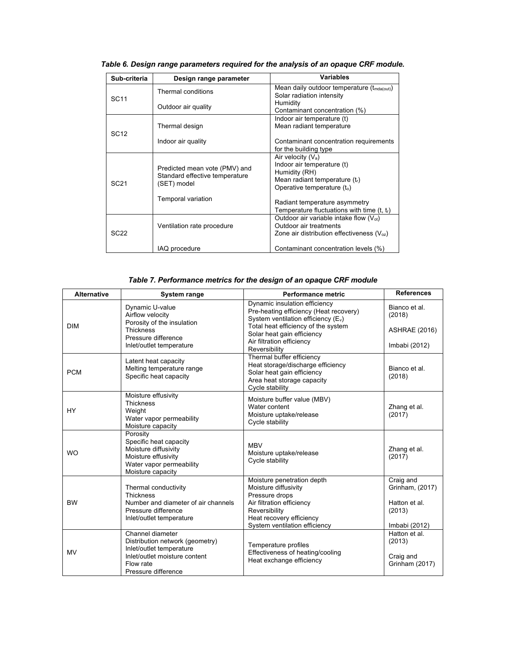| Sub-criteria     | Design range parameter                                                         | <b>Variables</b>                                                                                                                      |  |  |
|------------------|--------------------------------------------------------------------------------|---------------------------------------------------------------------------------------------------------------------------------------|--|--|
|                  | <b>Thermal conditions</b>                                                      | Mean daily outdoor temperature $(t_{\text{mda}(\text{out})})$<br>Solar radiation intensity                                            |  |  |
| <b>SC11</b>      | Outdoor air quality                                                            | Humidity<br>Contaminant concentration (%)                                                                                             |  |  |
| SC <sub>12</sub> | Thermal design                                                                 | Indoor air temperature (t)<br>Mean radiant temperature                                                                                |  |  |
|                  | Indoor air quality                                                             | Contaminant concentration requirements<br>for the building type                                                                       |  |  |
| SC <sub>21</sub> | Predicted mean vote (PMV) and<br>Standard effective temperature<br>(SET) model | Air velocity $(V_a)$<br>Indoor air temperature (t)<br>Humidity (RH)<br>Mean radiant temperature $(t_r)$<br>Operative temperature (to) |  |  |
|                  | Temporal variation                                                             | Radiant temperature asymmetry<br>Temperature fluctuations with time $(t, t)$                                                          |  |  |
| <b>SC22</b>      | Ventilation rate procedure                                                     | Outdoor air variable intake flow $(Vot)$<br>Outdoor air treatments<br>Zone air distribution effectiveness ( $V_{oz}$ )                |  |  |
|                  | IAQ procedure                                                                  | Contaminant concentration levels (%)                                                                                                  |  |  |

*Table 6. Design range parameters required for the analysis of an opaque CRF module.*

## *Table 7. Performance metrics for the design of an opaque CRF module*

| <b>Alternative</b> | System range                                                                                                                       | Performance metric                                                                                                                             | <b>References</b>                                       |
|--------------------|------------------------------------------------------------------------------------------------------------------------------------|------------------------------------------------------------------------------------------------------------------------------------------------|---------------------------------------------------------|
|                    | Dynamic U-value<br>Airflow velocity<br>Porosity of the insulation                                                                  | Dynamic insulation efficiency<br>Pre-heating efficiency (Heat recovery)<br>System ventilation efficiency (E <sub>v</sub> )                     | Bianco et al.<br>(2018)                                 |
| <b>DIM</b>         | <b>Thickness</b><br>Pressure difference                                                                                            | Total heat efficiency of the system<br>Solar heat gain efficiency<br>Air filtration efficiency                                                 | <b>ASHRAE (2016)</b>                                    |
|                    | Inlet/outlet temperature                                                                                                           | Reversibility                                                                                                                                  | Imbabi (2012)                                           |
| <b>PCM</b>         | Latent heat capacity<br>Melting temperature range<br>Specific heat capacity                                                        | Thermal buffer efficiency<br>Heat storage/discharge efficiency<br>Solar heat gain efficiency<br>Area heat storage capacity<br>Cycle stability  | Bianco et al.<br>(2018)                                 |
| <b>HY</b>          | Moisture effusivity<br><b>Thickness</b><br>Weight<br>Water vapor permeability<br>Moisture capacity                                 | Moisture buffer value (MBV)<br>Water content<br>Moisture uptake/release<br>Cycle stability                                                     | Zhang et al.<br>(2017)                                  |
| <b>WO</b>          | Porosity<br>Specific heat capacity<br>Moisture diffusivity<br>Moisture effusivity<br>Water vapor permeability<br>Moisture capacity | <b>MBV</b><br>Moisture uptake/release<br>Cycle stability                                                                                       | Zhang et al.<br>(2017)                                  |
| <b>BW</b>          | Thermal conductivity<br><b>Thickness</b><br>Number and diameter of air channels<br>Pressure difference<br>Inlet/outlet temperature | Moisture penetration depth<br>Moisture diffusivity<br>Pressure drops<br>Air filtration efficiency<br>Reversibility<br>Heat recovery efficiency | Craig and<br>Grinham, (2017)<br>Hatton et al.<br>(2013) |
|                    | Channel diameter                                                                                                                   | System ventilation efficiency                                                                                                                  | Imbabi (2012)<br>Hatton et al.                          |
| <b>MV</b>          | Distribution network (geometry)<br>Inlet/outlet temperature<br>Inlet/outlet moisture content<br>Flow rate<br>Pressure difference   | Temperature profiles<br>Effectiveness of heating/cooling<br>Heat exchange efficiency                                                           | (2013)<br>Craig and<br>Grinham (2017)                   |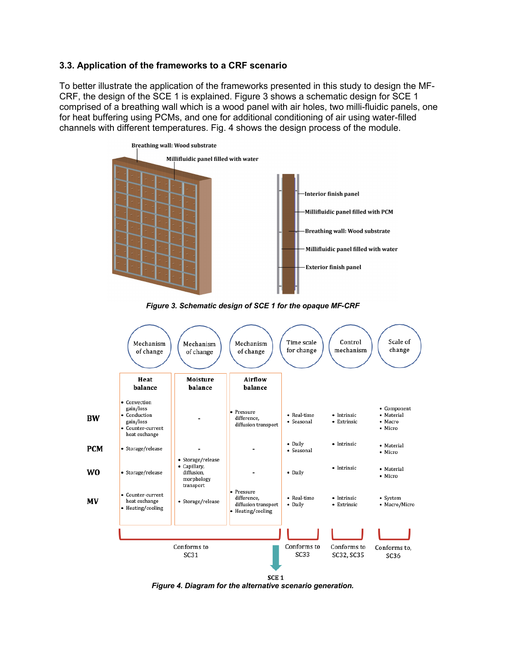#### **3.3. Application of the frameworks to a CRF scenario**

To better illustrate the application of the frameworks presented in this study to design the MF-CRF, the design of the SCE 1 is explained. Figure 3 shows a schematic design for SCE 1 comprised of a breathing wall which is a wood panel with air holes, two milli-fluidic panels, one for heat buffering using PCMs, and one for additional conditioning of air using water-filled channels with different temperatures. Fig. 4 shows the design process of the module.







*Figure 4. Diagram for the alternative scenario generation.*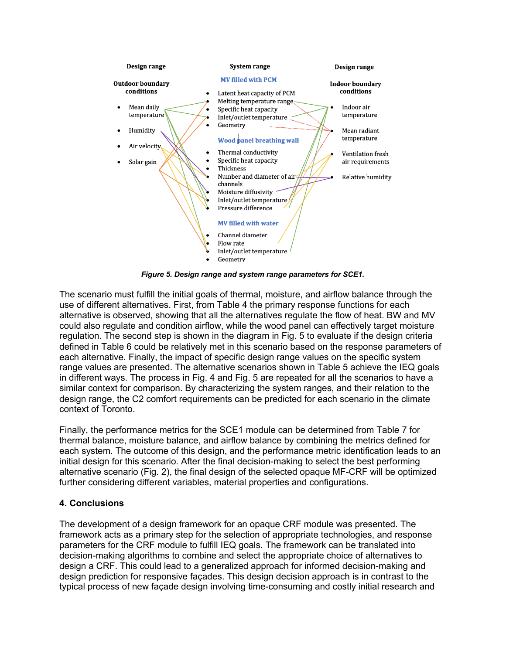

*Figure 5. Design range and system range parameters for SCE1.*

The scenario must fulfill the initial goals of thermal, moisture, and airflow balance through the use of different alternatives. First, from Table 4 the primary response functions for each alternative is observed, showing that all the alternatives regulate the flow of heat. BW and MV could also regulate and condition airflow, while the wood panel can effectively target moisture regulation. The second step is shown in the diagram in Fig. 5 to evaluate if the design criteria defined in Table 6 could be relatively met in this scenario based on the response parameters of each alternative. Finally, the impact of specific design range values on the specific system range values are presented. The alternative scenarios shown in Table 5 achieve the IEQ goals in different ways. The process in Fig. 4 and Fig. 5 are repeated for all the scenarios to have a similar context for comparison. By characterizing the system ranges, and their relation to the design range, the C2 comfort requirements can be predicted for each scenario in the climate context of Toronto.

Finally, the performance metrics for the SCE1 module can be determined from Table 7 for thermal balance, moisture balance, and airflow balance by combining the metrics defined for each system. The outcome of this design, and the performance metric identification leads to an initial design for this scenario. After the final decision-making to select the best performing alternative scenario (Fig. 2), the final design of the selected opaque MF-CRF will be optimized further considering different variables, material properties and configurations.

# **4. Conclusions**

The development of a design framework for an opaque CRF module was presented. The framework acts as a primary step for the selection of appropriate technologies, and response parameters for the CRF module to fulfill IEQ goals. The framework can be translated into decision-making algorithms to combine and select the appropriate choice of alternatives to design a CRF. This could lead to a generalized approach for informed decision-making and design prediction for responsive façades. This design decision approach is in contrast to the typical process of new façade design involving time-consuming and costly initial research and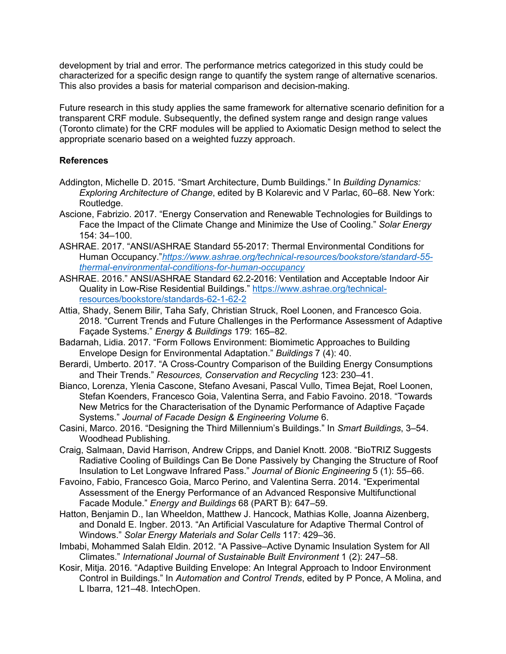development by trial and error. The performance metrics categorized in this study could be characterized for a specific design range to quantify the system range of alternative scenarios. This also provides a basis for material comparison and decision-making.

Future research in this study applies the same framework for alternative scenario definition for a transparent CRF module. Subsequently, the defined system range and design range values (Toronto climate) for the CRF modules will be applied to Axiomatic Design method to select the appropriate scenario based on a weighted fuzzy approach.

#### **References**

- Addington, Michelle D. 2015. "Smart Architecture, Dumb Buildings." In *Building Dynamics: Exploring Architecture of Change*, edited by B Kolarevic and V Parlac, 60–68. New York: Routledge.
- Ascione, Fabrizio. 2017. "Energy Conservation and Renewable Technologies for Buildings to Face the Impact of the Climate Change and Minimize the Use of Cooling." *Solar Energy* 154: 34–100.
- ASHRAE. 2017. "ANSI/ASHRAE Standard 55-2017: Thermal Environmental Conditions for Human Occupancy."*https://www.ashrae.org/technical-resources/bookstore/standard-55 thermal-environmental-conditions-for-human-occupancy*
- ASHRAE. 2016." ANSI/ASHRAE Standard 62.2-2016: Ventilation and Acceptable Indoor Air Quality in Low-Rise Residential Buildings." https://www.ashrae.org/technicalresources/bookstore/standards-62-1-62-2
- Attia, Shady, Senem Bilir, Taha Safy, Christian Struck, Roel Loonen, and Francesco Goia. 2018. "Current Trends and Future Challenges in the Performance Assessment of Adaptive Façade Systems." *Energy & Buildings* 179: 165–82.
- Badarnah, Lidia. 2017. "Form Follows Environment: Biomimetic Approaches to Building Envelope Design for Environmental Adaptation." *Buildings* 7 (4): 40.
- Berardi, Umberto. 2017. "A Cross-Country Comparison of the Building Energy Consumptions and Their Trends." *Resources, Conservation and Recycling* 123: 230–41.
- Bianco, Lorenza, Ylenia Cascone, Stefano Avesani, Pascal Vullo, Timea Bejat, Roel Loonen, Stefan Koenders, Francesco Goia, Valentina Serra, and Fabio Favoino. 2018. "Towards New Metrics for the Characterisation of the Dynamic Performance of Adaptive Façade Systems." *Journal of Facade Design & Engineering Volume* 6.
- Casini, Marco. 2016. "Designing the Third Millennium's Buildings." In *Smart Buildings*, 3–54. Woodhead Publishing.
- Craig, Salmaan, David Harrison, Andrew Cripps, and Daniel Knott. 2008. "BioTRIZ Suggests Radiative Cooling of Buildings Can Be Done Passively by Changing the Structure of Roof Insulation to Let Longwave Infrared Pass." *Journal of Bionic Engineering* 5 (1): 55–66.
- Favoino, Fabio, Francesco Goia, Marco Perino, and Valentina Serra. 2014. "Experimental Assessment of the Energy Performance of an Advanced Responsive Multifunctional Facade Module." *Energy and Buildings* 68 (PART B): 647–59.
- Hatton, Benjamin D., Ian Wheeldon, Matthew J. Hancock, Mathias Kolle, Joanna Aizenberg, and Donald E. Ingber. 2013. "An Artificial Vasculature for Adaptive Thermal Control of Windows." *Solar Energy Materials and Solar Cells* 117: 429–36.
- Imbabi, Mohammed Salah Eldin. 2012. "A Passive–Active Dynamic Insulation System for All Climates." *International Journal of Sustainable Built Environment* 1 (2): 247–58.
- Kosir, Mitja. 2016. "Adaptive Building Envelope: An Integral Approach to Indoor Environment Control in Buildings." In *Automation and Control Trends*, edited by P Ponce, A Molina, and L Ibarra, 121–48. IntechOpen.